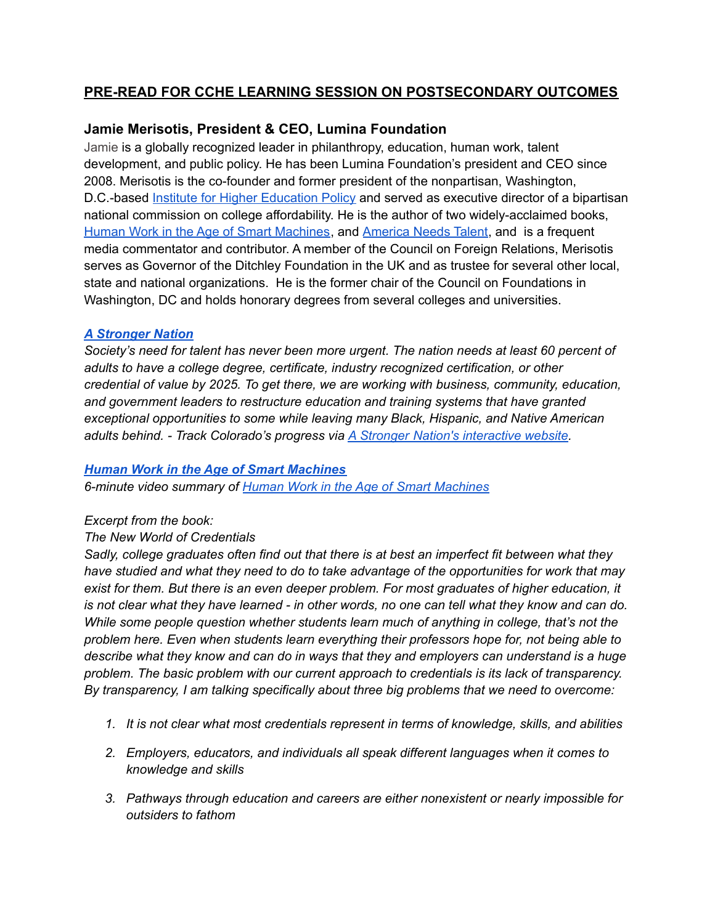# **PRE-READ FOR CCHE LEARNING SESSION ON POSTSECONDARY OUTCOMES**

## **Jamie Merisotis, President & CEO, Lumina Foundation**

Jamie is a globally recognized leader in philanthropy, education, human work, talent development, and public policy. He has been Lumina Foundation's president and CEO since 2008. Merisotis is the co-founder and former president of the nonpartisan, Washington, D.C.-based Institute for Higher [Education](https://www.ihep.org/) Policy and served as executive director of a bipartisan national commission on college affordability. He is the author of two widely-acclaimed books[,](https://www.jamiemerisotis.com/books/human-work-in-the-age-of-smart-machines/) Human Work in the Age of Smart [Machines](https://www.jamiemerisotis.com/books/human-work-in-the-age-of-smart-machines/), and [America](https://www.amazon.com/America-Needs-Talent-Attracting-21st-Century/dp/0795351267/) Needs Talent, and is a frequent media commentator and contributor. A member of the Council on Foreign Relations, Merisotis serves as Governor of the Ditchley Foundation in the UK and as trustee for several other local, state and national organizations. He is the former chair of the Council on Foundations in Washington, DC and holds honorary degrees from several colleges and universities.

### *A [Stronger](https://www.luminafoundation.org/stronger-nation/report/#/progress) Nation*

*Society's need for talent has never been more urgent. The nation needs at least 60 percent of adults to have a college degree, certificate, industry recognized certification, or other credential of value by 2025. To get there, we are working with business, community, education, and government leaders to restructure education and training systems that have granted exceptional opportunities to some while leaving many Black, Hispanic, and Native American adults behind. - Track Colorado's progress via A Stronger Nation's [interactive](https://www.luminafoundation.org/stronger-nation/report/#/progress) website.*

#### *Human Work in the Age of Smart [Machines](https://www.jamiemerisotis.com/books/human-work-in-the-age-of-smart-machines/)*

*6-minute video summary of Human Work in the Age of Smart [Machines](https://youtu.be/63F_BiauH14)*

## *Excerpt from the book:*

## *The New World of Credentials*

*Sadly, college graduates often find out that there is at best an imperfect fit between what they have studied and what they need to do to take advantage of the opportunities for work that may exist for them. But there is an even deeper problem. For most graduates of higher education, it* is not clear what they have learned - in other words, no one can tell what they know and can do. *While some people question whether students learn much of anything in college, that's not the problem here. Even when students learn everything their professors hope for, not being able to describe what they know and can do in ways that they and employers can understand is a huge problem. The basic problem with our current approach to credentials is its lack of transparency. By transparency, I am talking specifically about three big problems that we need to overcome:*

- *1. It is not clear what most credentials represent in terms of knowledge, skills, and abilities*
- *2. Employers, educators, and individuals all speak different languages when it comes to knowledge and skills*
- *3. Pathways through education and careers are either nonexistent or nearly impossible for outsiders to fathom*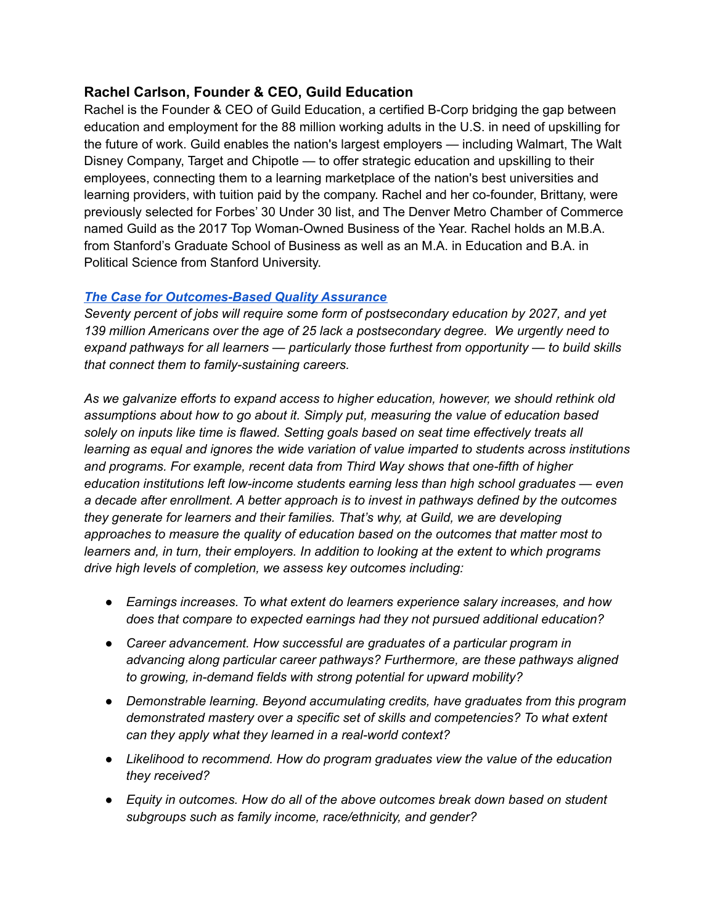## **Rachel Carlson, Founder & CEO, Guild Education**

Rachel is the Founder & CEO of Guild Education, a certified B-Corp bridging the gap between education and employment for the 88 million working adults in the U.S. in need of upskilling for the future of work. Guild enables the nation's largest employers — including Walmart, The Walt Disney Company, Target and Chipotle — to offer strategic education and upskilling to their employees, connecting them to a learning marketplace of the nation's best universities and learning providers, with tuition paid by the company. Rachel and her co-founder, Brittany, were previously selected for Forbes' 30 Under 30 list, and The Denver Metro Chamber of Commerce named Guild as the 2017 Top Woman-Owned Business of the Year. Rachel holds an M.B.A. from Stanford's Graduate School of Business as well as an M.A. in Education and B.A. in Political Science from Stanford University.

### *The Case for [Outcomes-Based](https://blog.guildeducation.com/the-case-for-outcomes-based-quality-assurance/) Quality Assurance*

*Seventy percent of jobs will require some form of postsecondary education by 2027, and yet 139 million Americans over the age of 25 lack a postsecondary degree. We urgently need to expand pathways for all learners — particularly those furthest from opportunity — to build skills that connect them to family-sustaining careers.*

*As we galvanize efforts to expand access to higher education, however, we should rethink old assumptions about how to go about it. Simply put, measuring the value of education based solely on inputs like time is flawed. Setting goals based on seat time effectively treats all learning as equal and ignores the wide variation of value imparted to students across institutions and programs. For example, recent data from Third Way shows that one-fifth of higher education institutions left low-income students earning less than high school graduates — even a decade after enrollment. A better approach is to invest in pathways defined by the outcomes they generate for learners and their families. That's why, at Guild, we are developing approaches to measure the quality of education based on the outcomes that matter most to learners and, in turn, their employers. In addition to looking at the extent to which programs drive high levels of completion, we assess key outcomes including:*

- *● Earnings increases. To what extent do learners experience salary increases, and how does that compare to expected earnings had they not pursued additional education?*
- *● Career advancement. How successful are graduates of a particular program in advancing along particular career pathways? Furthermore, are these pathways aligned to growing, in-demand fields with strong potential for upward mobility?*
- *● Demonstrable learning. Beyond accumulating credits, have graduates from this program demonstrated mastery over a specific set of skills and competencies? To what extent can they apply what they learned in a real-world context?*
- *● Likelihood to recommend. How do program graduates view the value of the education they received?*
- *● Equity in outcomes. How do all of the above outcomes break down based on student subgroups such as family income, race/ethnicity, and gender?*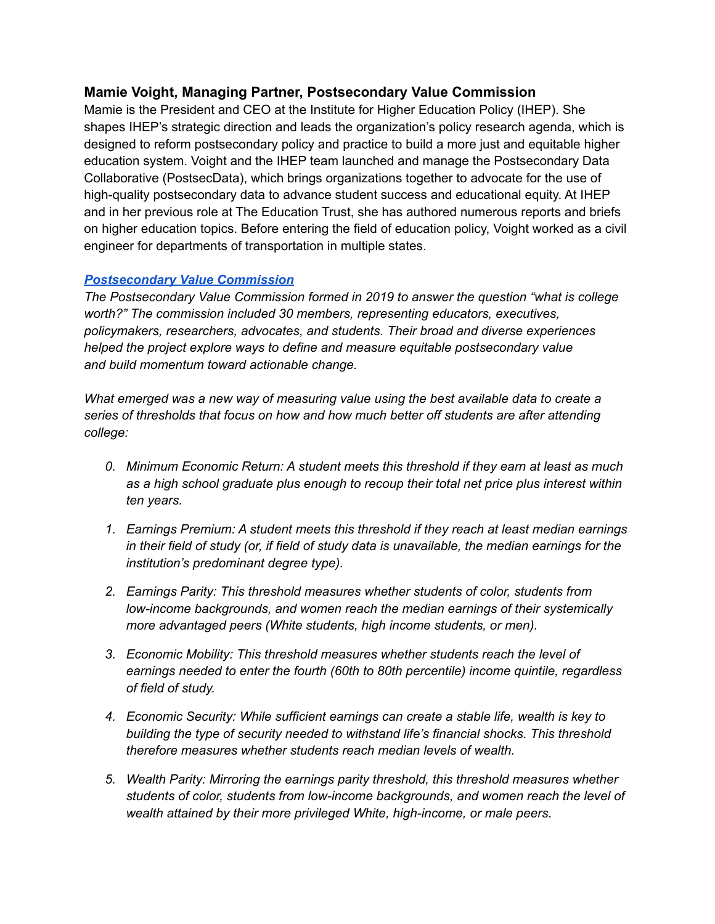## **Mamie Voight, Managing Partner, Postsecondary Value Commission**

Mamie is the President and CEO at the Institute for Higher Education Policy (IHEP). She shapes IHEP's strategic direction and leads the organization's policy research agenda, which is designed to reform postsecondary policy and practice to build a more just and equitable higher education system. Voight and the IHEP team launched and manage the Postsecondary Data Collaborative (PostsecData), which brings organizations together to advocate for the use of high-quality postsecondary data to advance student success and educational equity. At IHEP and in her previous role at The Education Trust, she has authored numerous reports and briefs on higher education topics. Before entering the field of education policy, Voight worked as a civil engineer for departments of transportation in multiple states.

## *[Postsecondary](https://www.postsecondaryvalue.org/wp-content/uploads/2021/05/PVC-Executive-Summary-FINAL.pdf) Value Commission*

*The Postsecondary Value Commission formed in 2019 to answer the question "what is college worth?" The commission included 30 members, representing educators, executives, policymakers, researchers, advocates, and students. Their broad and diverse experiences helped the project explore ways to define and measure equitable postsecondary value and build momentum toward actionable change.*

*What emerged was a new way of measuring value using the best available data to create a series of thresholds that focus on how and how much better off students are after attending college:*

- *0. Minimum Economic Return: A student meets this threshold if they earn at least as much as a high school graduate plus enough to recoup their total net price plus interest within ten years.*
- *1. Earnings Premium: A student meets this threshold if they reach at least median earnings in their field of study (or, if field of study data is unavailable, the median earnings for the institution's predominant degree type).*
- *2. Earnings Parity: This threshold measures whether students of color, students from low-income backgrounds, and women reach the median earnings of their systemically more advantaged peers (White students, high income students, or men).*
- *3. Economic Mobility: This threshold measures whether students reach the level of earnings needed to enter the fourth (60th to 80th percentile) income quintile, regardless of field of study.*
- *4. Economic Security: While sufficient earnings can create a stable life, wealth is key to building the type of security needed to withstand life's financial shocks. This threshold therefore measures whether students reach median levels of wealth.*
- *5. Wealth Parity: Mirroring the earnings parity threshold, this threshold measures whether students of color, students from low-income backgrounds, and women reach the level of wealth attained by their more privileged White, high-income, or male peers.*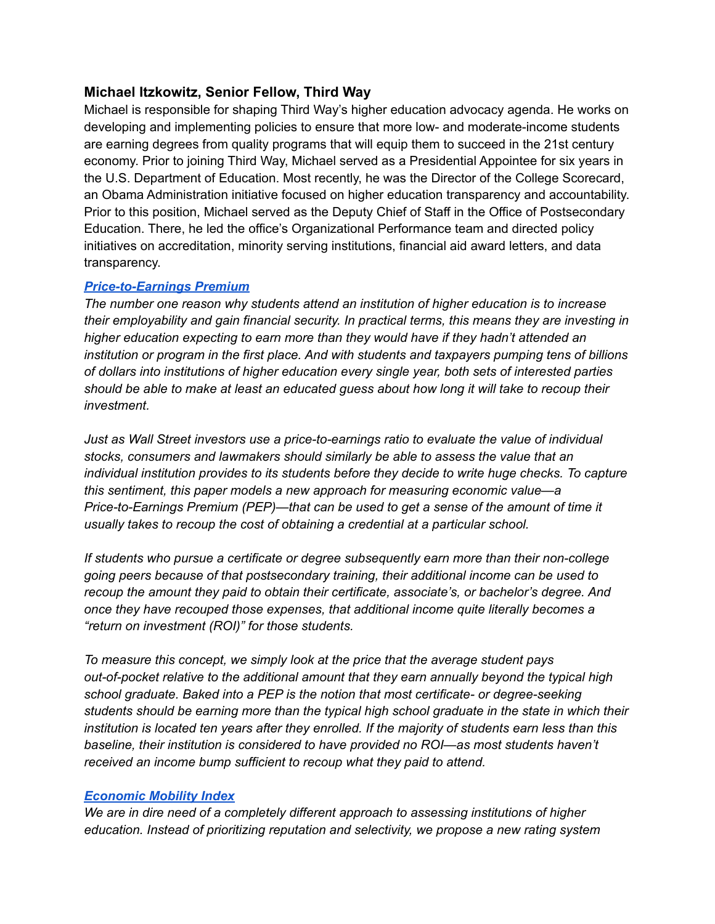## **Michael Itzkowitz, Senior Fellow, Third Way**

Michael is responsible for shaping Third Way's higher education advocacy agenda. He works on developing and implementing policies to ensure that more low- and moderate-income students are earning degrees from quality programs that will equip them to succeed in the 21st century economy. Prior to joining Third Way, Michael served as a Presidential Appointee for six years in the U.S. Department of Education. Most recently, he was the Director of the College Scorecard, an Obama Administration initiative focused on higher education transparency and accountability. Prior to this position, Michael served as the Deputy Chief of Staff in the Office of Postsecondary Education. There, he led the office's Organizational Performance team and directed policy initiatives on accreditation, minority serving institutions, financial aid award letters, and data transparency.

## *[Price-to-Earnings](https://www.thirdway.org/report/price-to-earnings-premium-a-new-way-of-measuring-return-on-investment-in-higher-ed) Premium*

*The number one reason why students attend an institution of higher education is to increase their employability and gain financial security. In practical terms, this means they are investing in higher education expecting to earn more than they would have if they hadn't attended an institution or program in the first place. And with students and taxpayers pumping tens of billions of dollars into institutions of higher education every single year, both sets of interested parties* should be able to make at least an educated guess about how long it will take to recoup their *investment.*

*Just as Wall Street investors use a price-to-earnings ratio to evaluate the value of individual stocks, consumers and lawmakers should similarly be able to assess the value that an individual institution provides to its students before they decide to write huge checks. To capture this sentiment, this paper models a new approach for measuring economic value—a Price-to-Earnings Premium (PEP)—that can be used to get a sense of the amount of time it usually takes to recoup the cost of obtaining a credential at a particular school.*

*If students who pursue a certificate or degree subsequently earn more than their non-college going peers because of that postsecondary training, their additional income can be used to recoup the amount they paid to obtain their certificate, associate's, or bachelor's degree. And once they have recouped those expenses, that additional income quite literally becomes a "return on investment (ROI)" for those students.*

*To measure this concept, we simply look at the price that the average student pays out-of-pocket relative to the additional amount that they earn annually beyond the typical high school graduate. Baked into a PEP is the notion that most certificate- or degree-seeking students should be earning more than the typical high school graduate in the state in which their institution is located ten years after they enrolled. If the majority of students earn less than this baseline, their institution is considered to have provided no ROI—as most students haven't received an income bump sufficient to recoup what they paid to attend.*

#### *[Economic](https://www.thirdway.org/report/out-with-the-old-in-with-the-new-rating-higher-ed-by-economic-mobility) Mobility Index*

*We are in dire need of a completely different approach to assessing institutions of higher education. Instead of prioritizing reputation and selectivity, we propose a new rating system*